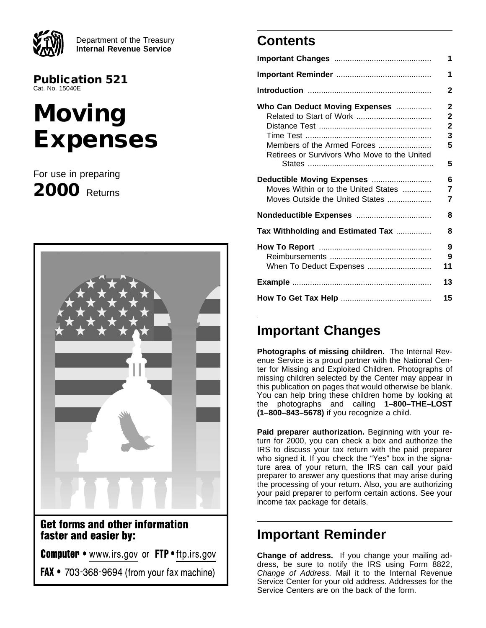

Department of the Treasury **Internal Revenue Service**

**Publication 521** Cat. No. 15040E

# **Moving Expenses**

For use in preparing **2000** Returns



### **Get forms and other information** faster and easier by:

**Computer** • www.irs.gov or **FTP** • ftp.irs.gov

**FAX**  $\bullet$  703-368-9694 (from your fax machine)

# **Contents**

|                                                                                                               | 1                                                               |
|---------------------------------------------------------------------------------------------------------------|-----------------------------------------------------------------|
|                                                                                                               | 1                                                               |
|                                                                                                               | $\mathbf{2}$                                                    |
| Who Can Deduct Moving Expenses<br>Members of the Armed Forces<br>Retirees or Survivors Who Move to the United | $\mathbf{2}$<br>$\overline{2}$<br>$\overline{2}$<br>3<br>5<br>5 |
| Deductible Moving Expenses<br>Moves Within or to the United States<br>Moves Outside the United States         | 6<br>7<br>7                                                     |
|                                                                                                               | 8                                                               |
| Tax Withholding and Estimated Tax                                                                             | 8                                                               |
| When To Deduct Expenses                                                                                       | 9<br>9<br>11                                                    |
|                                                                                                               | 13                                                              |
|                                                                                                               | 15                                                              |

# **Important Changes**

**Photographs of missing children.** The Internal Revenue Service is a proud partner with the National Center for Missing and Exploited Children. Photographs of missing children selected by the Center may appear in this publication on pages that would otherwise be blank. You can help bring these children home by looking at the photographs and calling **1–800–THE–LOST (1–800–843–5678)** if you recognize a child.

**Paid preparer authorization.** Beginning with your return for 2000, you can check a box and authorize the IRS to discuss your tax return with the paid preparer who signed it. If you check the "Yes" box in the signature area of your return, the IRS can call your paid preparer to answer any questions that may arise during the processing of your return. Also, you are authorizing your paid preparer to perform certain actions. See your income tax package for details.

# **Important Reminder**

**Change of address.** If you change your mailing address, be sure to notify the IRS using Form 8822, Change of Address. Mail it to the Internal Revenue Service Center for your old address. Addresses for the Service Centers are on the back of the form.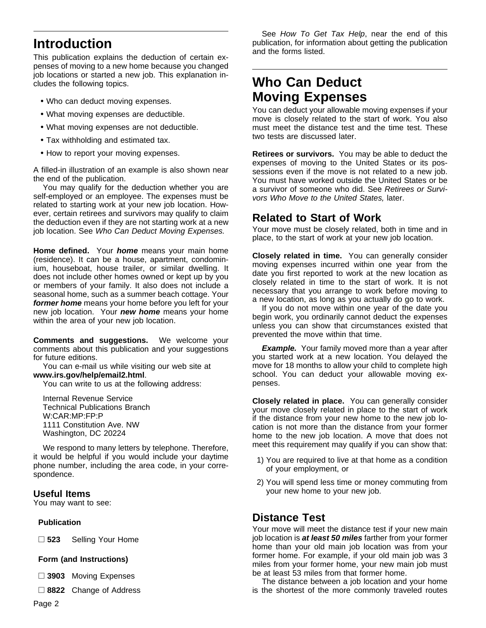### **Introduction**

This publication explains the deduction of certain expenses of moving to a new home because you changed job locations or started a new job. This explanation includes the following topics.

- Who can deduct moving expenses.
- What moving expenses are deductible.
- What moving expenses are not deductible.
- Tax withholding and estimated tax.
- How to report your moving expenses.

A filled-in illustration of an example is also shown near the end of the publication.

You may qualify for the deduction whether you are self-employed or an employee. The expenses must be related to starting work at your new job location. However, certain retirees and survivors may qualify to claim the deduction even if they are not starting work at a new job location. See Who Can Deduct Moving Expenses.

**Home defined.** Your **home** means your main home (residence). It can be a house, apartment, condominium, houseboat, house trailer, or similar dwelling. It does not include other homes owned or kept up by you or members of your family. It also does not include a seasonal home, such as a summer beach cottage. Your **former home** means your home before you left for your new job location. Your **new home** means your home within the area of your new job location.

**Comments and suggestions.** We welcome your comments about this publication and your suggestions for future editions.

You can e-mail us while visiting our web site at **www.irs.gov/help/email2.html**.

You can write to us at the following address:

Internal Revenue Service Technical Publications Branch W:CAR:MP:FP:P 1111 Constitution Ave. NW Washington, DC 20224

We respond to many letters by telephone. Therefore, it would be helpful if you would include your daytime phone number, including the area code, in your correspondence.

#### **Useful Items**

You may want to see:

#### **Publication**

**523** Selling Your Home

#### **Form (and Instructions)**

 **3903** Moving Expenses

**8822** Change of Address

See How To Get Tax Help, near the end of this publication, for information about getting the publication and the forms listed.

# **Who Can Deduct Moving Expenses**

You can deduct your allowable moving expenses if your move is closely related to the start of work. You also must meet the distance test and the time test. These two tests are discussed later.

**Retirees or survivors.** You may be able to deduct the expenses of moving to the United States or its possessions even if the move is not related to a new job. You must have worked outside the United States or be a survivor of someone who did. See Retirees or Survivors Who Move to the United States, later.

### **Related to Start of Work**

Your move must be closely related, both in time and in place, to the start of work at your new job location.

**Closely related in time.** You can generally consider moving expenses incurred within one year from the date you first reported to work at the new location as closely related in time to the start of work. It is not necessary that you arrange to work before moving to a new location, as long as you actually do go to work.

If you do not move within one year of the date you begin work, you ordinarily cannot deduct the expenses unless you can show that circumstances existed that prevented the move within that time.

**Example.** Your family moved more than a year after you started work at a new location. You delayed the move for 18 months to allow your child to complete high school. You can deduct your allowable moving expenses.

**Closely related in place.** You can generally consider your move closely related in place to the start of work if the distance from your new home to the new job location is not more than the distance from your former home to the new job location. A move that does not meet this requirement may qualify if you can show that:

- 1) You are required to live at that home as a condition of your employment, or
- 2) You will spend less time or money commuting from your new home to your new job.

### **Distance Test**

Your move will meet the distance test if your new main job location is **at least 50 miles** farther from your former home than your old main job location was from your former home. For example, if your old main job was 3 miles from your former home, your new main job must be at least 53 miles from that former home.

The distance between a job location and your home is the shortest of the more commonly traveled routes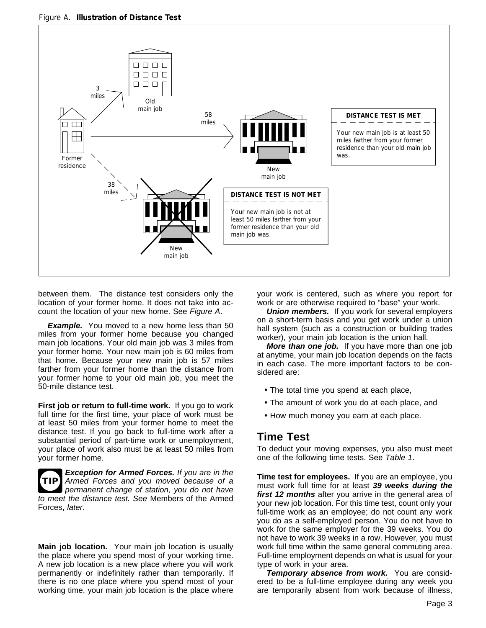

between them. The distance test considers only the location of your former home. It does not take into account the location of your new home. See Figure A.

**Example.** You moved to a new home less than 50 miles from your former home because you changed main job locations. Your old main job was 3 miles from your former home. Your new main job is 60 miles from that home. Because your new main job is 57 miles farther from your former home than the distance from your former home to your old main job, you meet the 50-mile distance test.

**First job or return to full-time work.** If you go to work full time for the first time, your place of work must be at least 50 miles from your former home to meet the distance test. If you go back to full-time work after a substantial period of part-time work or unemployment, your place of work also must be at least 50 miles from your former home.

**TIP Exception for Armed Forces.** If you are in the Armed Forces and you moved because of a permanent change of station, you do not have to meet the distance test. See Members of the Armed Forces, later.

**Main job location.** Your main job location is usually the place where you spend most of your working time. A new job location is a new place where you will work permanently or indefinitely rather than temporarily. If there is no one place where you spend most of your working time, your main job location is the place where

your work is centered, such as where you report for work or are otherwise required to "base" your work.

**Union members.** If you work for several employers on a short-term basis and you get work under a union hall system (such as a construction or building trades worker), your main job location is the union hall.

**More than one job.** If you have more than one job at anytime, your main job location depends on the facts in each case. The more important factors to be considered are:

- The total time you spend at each place,
- The amount of work you do at each place, and
- How much money you earn at each place.

### **Time Test**

To deduct your moving expenses, you also must meet one of the following time tests. See Table 1.

**Time test for employees.** If you are an employee, you must work full time for at least **39 weeks during the first 12 months** after you arrive in the general area of your new job location. For this time test, count only your full-time work as an employee; do not count any work you do as a self-employed person. You do not have to work for the same employer for the 39 weeks. You do not have to work 39 weeks in a row. However, you must work full time within the same general commuting area. Full-time employment depends on what is usual for your type of work in your area.

**Temporary absence from work.** You are considered to be a full-time employee during any week you are temporarily absent from work because of illness,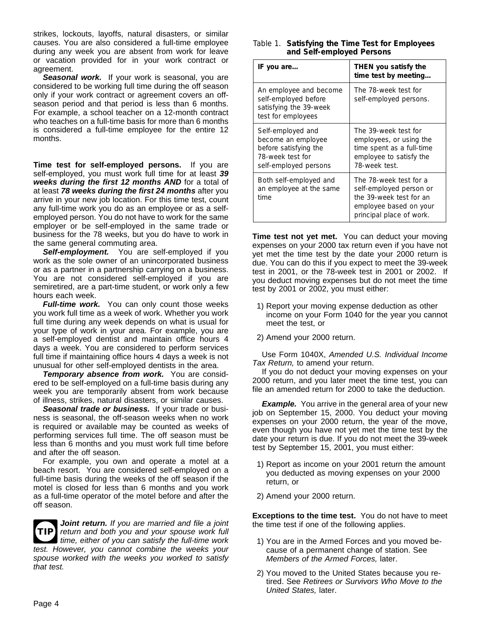strikes, lockouts, layoffs, natural disasters, or similar causes. You are also considered a full-time employee during any week you are absent from work for leave or vacation provided for in your work contract or agreement.

Seasonal work. If your work is seasonal, you are considered to be working full time during the off season only if your work contract or agreement covers an offseason period and that period is less than 6 months. For example, a school teacher on a 12-month contract who teaches on a full-time basis for more than 6 months is considered a full-time employee for the entire 12 months.

**Time test for self-employed persons.** If you are self-employed, you must work full time for at least **39 weeks during the first 12 months AND** for a total of at least **78 weeks during the first 24 months** after you arrive in your new job location. For this time test, count any full-time work you do as an employee or as a selfemployed person. You do not have to work for the same employer or be self-employed in the same trade or business for the 78 weeks, but you do have to work in the same general commuting area.

**Self-employment.** You are self-employed if you work as the sole owner of an unincorporated business or as a partner in a partnership carrying on a business. You are not considered self-employed if you are semiretired, are a part-time student, or work only a few hours each week.

**Full-time work.** You can only count those weeks you work full time as a week of work. Whether you work full time during any week depends on what is usual for your type of work in your area. For example, you are a self-employed dentist and maintain office hours 4 days a week. You are considered to perform services full time if maintaining office hours 4 days a week is not unusual for other self-employed dentists in the area.

**Temporary absence from work.** You are considered to be self-employed on a full-time basis during any week you are temporarily absent from work because of illness, strikes, natural disasters, or similar causes.

**Seasonal trade or business.** If your trade or business is seasonal, the off-season weeks when no work is required or available may be counted as weeks of performing services full time. The off season must be less than 6 months and you must work full time before and after the off season.

For example, you own and operate a motel at a beach resort. You are considered self-employed on a full-time basis during the weeks of the off season if the motel is closed for less than 6 months and you work as a full-time operator of the motel before and after the off season.

**TIP Joint return.** If you are married and file a joint return and both you and your spouse work full time, either of you can satisfy the full-time work test. However, you cannot combine the weeks your spouse worked with the weeks you worked to satisfy that test.

| Table 1. Satisfying the Time Test for Employees |
|-------------------------------------------------|
| and Self-employed Persons                       |

| IF you are                                                                                                    | THEN you satisfy the<br>time test by meeting                                                                                       |
|---------------------------------------------------------------------------------------------------------------|------------------------------------------------------------------------------------------------------------------------------------|
| An employee and become<br>self-employed before<br>satisfying the 39-week<br>test for employees                | The 78-week test for<br>self-employed persons.                                                                                     |
| Self-employed and<br>become an employee<br>before satisfying the<br>78-week test for<br>self-employed persons | The 39-week test for<br>employees, or using the<br>time spent as a full-time<br>employee to satisfy the<br>78-week test.           |
| Both self-employed and<br>an employee at the same<br>time                                                     | The 78-week test for a<br>self-employed person or<br>the 39-week test for an<br>employee based on your<br>principal place of work. |

**Time test not yet met.** You can deduct your moving expenses on your 2000 tax return even if you have not yet met the time test by the date your 2000 return is due. You can do this if you expect to meet the 39-week test in 2001, or the 78-week test in 2001 or 2002. If you deduct moving expenses but do not meet the time test by 2001 or 2002, you must either:

- 1) Report your moving expense deduction as other income on your Form 1040 for the year you cannot meet the test, or
- 2) Amend your 2000 return.

Use Form 1040X, Amended U.S. Individual Income Tax Return, to amend your return.

If you do not deduct your moving expenses on your 2000 return, and you later meet the time test, you can file an amended return for 2000 to take the deduction.

**Example.** You arrive in the general area of your new job on September 15, 2000. You deduct your moving expenses on your 2000 return, the year of the move, even though you have not yet met the time test by the date your return is due. If you do not meet the 39-week test by September 15, 2001, you must either:

- 1) Report as income on your 2001 return the amount you deducted as moving expenses on your 2000 return, or
- 2) Amend your 2000 return.

**Exceptions to the time test.** You do not have to meet the time test if one of the following applies.

- 1) You are in the Armed Forces and you moved because of a permanent change of station. See Members of the Armed Forces, later.
- 2) You moved to the United States because you retired. See Retirees or Survivors Who Move to the United States, later.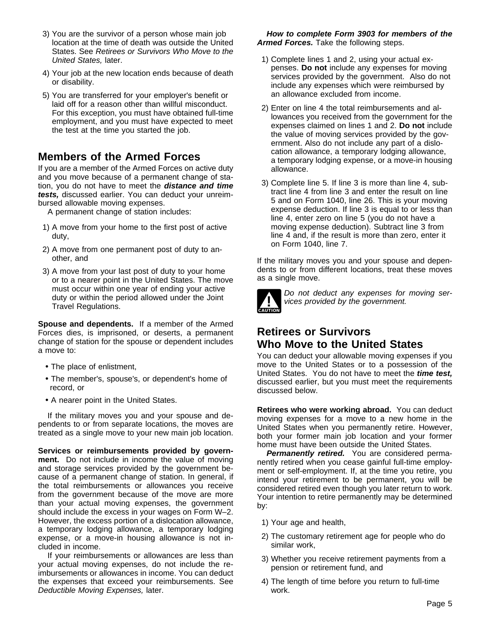- 3) You are the survivor of a person whose main job location at the time of death was outside the United States. See Retirees or Survivors Who Move to the United States, later.
- 4) Your job at the new location ends because of death or disability.
- 5) You are transferred for your employer's benefit or laid off for a reason other than willful misconduct. For this exception, you must have obtained full-time employment, and you must have expected to meet the test at the time you started the job.

### **Members of the Armed Forces**

If you are a member of the Armed Forces on active duty and you move because of a permanent change of station, you do not have to meet the **distance and time tests,** discussed earlier. You can deduct your unreimbursed allowable moving expenses.

A permanent change of station includes:

- 1) A move from your home to the first post of active duty,
- 2) A move from one permanent post of duty to another, and
- 3) A move from your last post of duty to your home or to a nearer point in the United States. The move must occur within one year of ending your active duty or within the period allowed under the Joint Travel Regulations.

**Spouse and dependents.** If a member of the Armed Forces dies, is imprisoned, or deserts, a permanent change of station for the spouse or dependent includes a move to:

- The place of enlistment,
- The member's, spouse's, or dependent's home of record, or
- A nearer point in the United States.

If the military moves you and your spouse and dependents to or from separate locations, the moves are treated as a single move to your new main job location.

**Services or reimbursements provided by government.** Do not include in income the value of moving and storage services provided by the government because of a permanent change of station. In general, if the total reimbursements or allowances you receive from the government because of the move are more than your actual moving expenses, the government should include the excess in your wages on Form W–2. However, the excess portion of a dislocation allowance, a temporary lodging allowance, a temporary lodging expense, or a move-in housing allowance is not included in income.

If your reimbursements or allowances are less than your actual moving expenses, do not include the reimbursements or allowances in income. You can deduct the expenses that exceed your reimbursements. See Deductible Moving Expenses, later.

#### **How to complete Form 3903 for members of the Armed Forces.** Take the following steps.

- 1) Complete lines 1 and 2, using your actual expenses. **Do not** include any expenses for moving services provided by the government. Also do not include any expenses which were reimbursed by an allowance excluded from income.
- 2) Enter on line 4 the total reimbursements and allowances you received from the government for the expenses claimed on lines 1 and 2. **Do not** include the value of moving services provided by the government. Also do not include any part of a dislocation allowance, a temporary lodging allowance, a temporary lodging expense, or a move-in housing allowance.
- 3) Complete line 5. If line 3 is more than line 4, subtract line 4 from line 3 and enter the result on line 5 and on Form 1040, line 26. This is your moving expense deduction. If line 3 is equal to or less than line 4, enter zero on line 5 (you do not have a moving expense deduction). Subtract line 3 from line 4 and, if the result is more than zero, enter it on Form 1040, line 7.

If the military moves you and your spouse and dependents to or from different locations, treat these moves as a single move.



**!** Do not deduct any expenses for moving services provided by the government.

### **Retirees or Survivors Who Move to the United States**

You can deduct your allowable moving expenses if you move to the United States or to a possession of the United States. You do not have to meet the **time test,** discussed earlier, but you must meet the requirements discussed below.

**Retirees who were working abroad.** You can deduct moving expenses for a move to a new home in the United States when you permanently retire. However, both your former main job location and your former home must have been outside the United States.

**Permanently retired.** You are considered permanently retired when you cease gainful full-time employment or self-employment. If, at the time you retire, you intend your retirement to be permanent, you will be considered retired even though you later return to work. Your intention to retire permanently may be determined by:

- 1) Your age and health,
- 2) The customary retirement age for people who do similar work,
- 3) Whether you receive retirement payments from a pension or retirement fund, and
- 4) The length of time before you return to full-time work.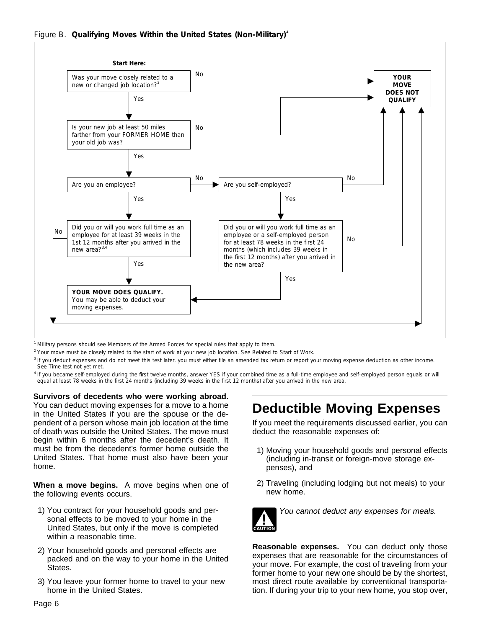

<sup>1</sup> Military persons should see *Members of the Armed Forces* for special rules that apply to them.

<sup>2</sup> Your move must be closely related to the start of work at your new job location. See *Related to Start of Work.*

<sup>3</sup> If you deduct expenses and do not meet this test later, you must either file an amended tax return or report your moving expense deduction as other income. See *Time test not yet met.*

<sup>4</sup> If you became self-employed during the first twelve months, answer YES if your combined time as a full-time employee and self-employed person equals or will equal at least 78 weeks in the first 24 months (including 39 weeks in the first 12 months) after you arrived in the new area.

**Survivors of decedents who were working abroad.** You can deduct moving expenses for a move to a home in the United States if you are the spouse or the dependent of a person whose main job location at the time of death was outside the United States. The move must begin within 6 months after the decedent's death. It must be from the decedent's former home outside the United States. That home must also have been your home.

**When a move begins.** A move begins when one of the following events occurs.

- 1) You contract for your household goods and personal effects to be moved to your home in the United States, but only if the move is completed within a reasonable time.
- 2) Your household goods and personal effects are packed and on the way to your home in the United States.
- 3) You leave your former home to travel to your new home in the United States.

# **Deductible Moving Expenses**

If you meet the requirements discussed earlier, you can deduct the reasonable expenses of:

- 1) Moving your household goods and personal effects (including in-transit or foreign-move storage expenses), and
- 2) Traveling (including lodging but not meals) to your new home.



**!** You cannot deduct any expenses for meals.

**Reasonable expenses.** You can deduct only those expenses that are reasonable for the circumstances of your move. For example, the cost of traveling from your former home to your new one should be by the shortest, most direct route available by conventional transportation. If during your trip to your new home, you stop over,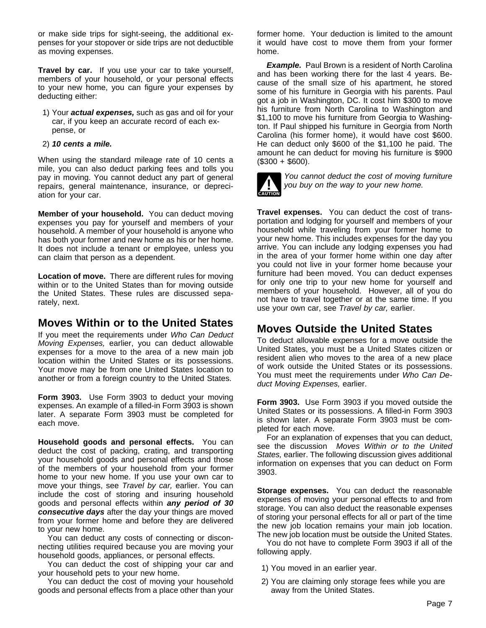or make side trips for sight-seeing, the additional expenses for your stopover or side trips are not deductible as moving expenses.

**Travel by car.** If you use your car to take yourself, members of your household, or your personal effects to your new home, you can figure your expenses by deducting either:

- 1) Your **actual expenses,** such as gas and oil for your car, if you keep an accurate record of each expense, or
- 2) **10 cents a mile.**

When using the standard mileage rate of 10 cents a mile, you can also deduct parking fees and tolls you pay in moving. You cannot deduct any part of general repairs, general maintenance, insurance, or depreciation for your car.

**Member of your household.** You can deduct moving expenses you pay for yourself and members of your household. A member of your household is anyone who has both your former and new home as his or her home. It does not include a tenant or employee, unless you can claim that person as a dependent.

**Location of move.** There are different rules for moving within or to the United States than for moving outside the United States. These rules are discussed separately, next.

#### **Moves Within or to the United States**

If you meet the requirements under Who Can Deduct Moving Expenses, earlier, you can deduct allowable expenses for a move to the area of a new main job location within the United States or its possessions. Your move may be from one United States location to another or from a foreign country to the United States.

**Form 3903.** Use Form 3903 to deduct your moving expenses. An example of a filled-in Form 3903 is shown later. A separate Form 3903 must be completed for each move.

**Household goods and personal effects.** You can deduct the cost of packing, crating, and transporting your household goods and personal effects and those of the members of your household from your former home to your new home. If you use your own car to move your things, see Travel by car, earlier. You can include the cost of storing and insuring household goods and personal effects within **any period of 30 consecutive days** after the day your things are moved from your former home and before they are delivered to your new home.

You can deduct any costs of connecting or disconnecting utilities required because you are moving your household goods, appliances, or personal effects.

You can deduct the cost of shipping your car and your household pets to your new home.

You can deduct the cost of moving your household goods and personal effects from a place other than your former home. Your deduction is limited to the amount it would have cost to move them from your former home.

**Example.** Paul Brown is a resident of North Carolina and has been working there for the last 4 years. Because of the small size of his apartment, he stored some of his furniture in Georgia with his parents. Paul got a job in Washington, DC. It cost him \$300 to move his furniture from North Carolina to Washington and \$1,100 to move his furniture from Georgia to Washington. If Paul shipped his furniture in Georgia from North Carolina (his former home), it would have cost \$600. He can deduct only \$600 of the \$1,100 he paid. The amount he can deduct for moving his furniture is \$900  $($300 + $600).$ 



**!** You cannot deduct the cost of moving furniture you buy on the way to your new home.

**Travel expenses.** You can deduct the cost of transportation and lodging for yourself and members of your household while traveling from your former home to your new home. This includes expenses for the day you arrive. You can include any lodging expenses you had in the area of your former home within one day after you could not live in your former home because your furniture had been moved. You can deduct expenses for only one trip to your new home for yourself and members of your household. However, all of you do not have to travel together or at the same time. If you use your own car, see Travel by car, earlier.

### **Moves Outside the United States**

To deduct allowable expenses for a move outside the United States, you must be a United States citizen or resident alien who moves to the area of a new place of work outside the United States or its possessions. You must meet the requirements under Who Can Deduct Moving Expenses, earlier.

**Form 3903.** Use Form 3903 if you moved outside the United States or its possessions. A filled-in Form 3903 is shown later. A separate Form 3903 must be completed for each move.

For an explanation of expenses that you can deduct, see the discussion Moves Within or to the United States, earlier. The following discussion gives additional information on expenses that you can deduct on Form 3903.

**Storage expenses.** You can deduct the reasonable expenses of moving your personal effects to and from storage. You can also deduct the reasonable expenses of storing your personal effects for all or part of the time the new job location remains your main job location. The new job location must be outside the United States.

You do not have to complete Form 3903 if all of the following apply.

- 1) You moved in an earlier year.
- 2) You are claiming only storage fees while you are away from the United States.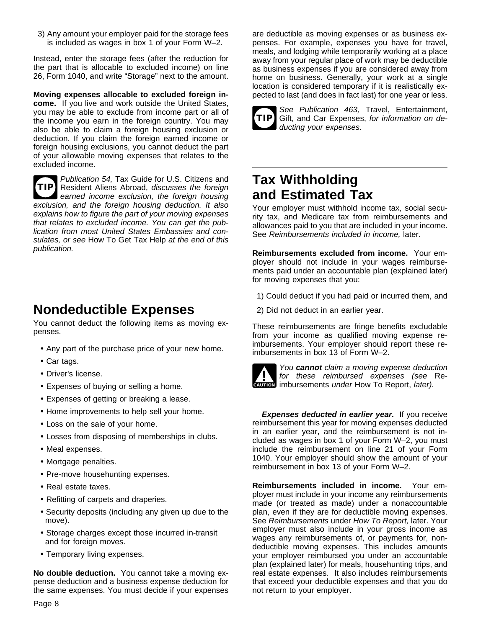3) Any amount your employer paid for the storage fees is included as wages in box 1 of your Form W–2.

Instead, enter the storage fees (after the reduction for the part that is allocable to excluded income) on line 26, Form 1040, and write "Storage" next to the amount.

**Moving expenses allocable to excluded foreign income.** If you live and work outside the United States, you may be able to exclude from income part or all of the income you earn in the foreign country. You may also be able to claim a foreign housing exclusion or deduction. If you claim the foreign earned income or foreign housing exclusions, you cannot deduct the part of your allowable moving expenses that relates to the excluded income.

**TIP** Resident Aliens Abroad, discusses the foreign Publication 54, Tax Guide for U.S. Citizens and earned income exclusion, the foreign housing exclusion, and the foreign housing deduction. It also explains how to figure the part of your moving expenses that relates to excluded income. You can get the publication from most United States Embassies and consulates, or see How To Get Tax Help at the end of this publication.

# **Nondeductible Expenses**

You cannot deduct the following items as moving expenses.

- Any part of the purchase price of your new home.
- Car tags.
- Driver's license.
- Expenses of buying or selling a home.
- Expenses of getting or breaking a lease.
- Home improvements to help sell your home.
- Loss on the sale of your home.
- Losses from disposing of memberships in clubs.
- Meal expenses.
- Mortgage penalties.
- Pre-move househunting expenses.
- Real estate taxes.
- Refitting of carpets and draperies.
- Security deposits (including any given up due to the move).
- Storage charges except those incurred in-transit and for foreign moves.
- Temporary living expenses.

**No double deduction.** You cannot take a moving expense deduction and a business expense deduction for the same expenses. You must decide if your expenses are deductible as moving expenses or as business expenses. For example, expenses you have for travel, meals, and lodging while temporarily working at a place away from your regular place of work may be deductible as business expenses if you are considered away from home on business. Generally, your work at a single location is considered temporary if it is realistically expected to last (and does in fact last) for one year or less.



See Publication 463, Travel, Entertainment, Gift, and Car Expenses, for information on deducting your expenses.

# **Tax Withholding and Estimated Tax**

Your employer must withhold income tax, social security tax, and Medicare tax from reimbursements and allowances paid to you that are included in your income. See Reimbursements included in income, later.

**Reimbursements excluded from income.** Your employer should not include in your wages reimbursements paid under an accountable plan (explained later) for moving expenses that you:

- 1) Could deduct if you had paid or incurred them, and
- 2) Did not deduct in an earlier year.

These reimbursements are fringe benefits excludable from your income as qualified moving expense reimbursements. Your employer should report these reimbursements in box 13 of Form W–2.



for these reimbursed expenses (see<br> **EAUTION** imbursements under How To Report, *later*). You **cannot** claim a moving expense deduction for these reimbursed expenses (see Re-

**Expenses deducted in earlier year.** If you receive reimbursement this year for moving expenses deducted in an earlier year, and the reimbursement is not included as wages in box 1 of your Form W–2, you must include the reimbursement on line 21 of your Form 1040. Your employer should show the amount of your reimbursement in box 13 of your Form W–2.

**Reimbursements included in income.** Your employer must include in your income any reimbursements made (or treated as made) under a nonaccountable plan, even if they are for deductible moving expenses. See Reimbursements under How To Report, later. Your employer must also include in your gross income as wages any reimbursements of, or payments for, nondeductible moving expenses. This includes amounts your employer reimbursed you under an accountable plan (explained later) for meals, househunting trips, and real estate expenses. It also includes reimbursements that exceed your deductible expenses and that you do not return to your employer.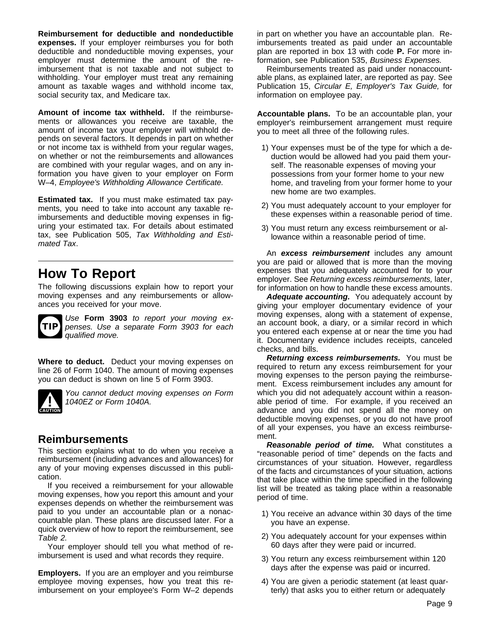**Reimbursement for deductible and nondeductible expenses.** If your employer reimburses you for both deductible and nondeductible moving expenses, your employer must determine the amount of the reimbursement that is not taxable and not subject to withholding. Your employer must treat any remaining amount as taxable wages and withhold income tax, social security tax, and Medicare tax.

**Amount of income tax withheld.** If the reimbursements or allowances you receive are taxable, the amount of income tax your employer will withhold depends on several factors. It depends in part on whether or not income tax is withheld from your regular wages, on whether or not the reimbursements and allowances are combined with your regular wages, and on any information you have given to your employer on Form W–4, Employee's Withholding Allowance Certificate.

**Estimated tax.** If you must make estimated tax payments, you need to take into account any taxable reimbursements and deductible moving expenses in figuring your estimated tax. For details about estimated tax, see Publication 505, Tax Withholding and Estimated Tax.

### **How To Report**

The following discussions explain how to report your moving expenses and any reimbursements or allowances you received for your move.



Use **Form 3903** to report your moving expenses. Use a separate Form 3903 for each qualified move.

**Where to deduct.** Deduct your moving expenses on line 26 of Form 1040. The amount of moving expenses you can deduct is shown on line 5 of Form 3903.



**!** You cannot deduct moving expenses on Form 1040EZ or Form 1040A.

#### **Reimbursements**

This section explains what to do when you receive a reimbursement (including advances and allowances) for any of your moving expenses discussed in this publication.

If you received a reimbursement for your allowable moving expenses, how you report this amount and your expenses depends on whether the reimbursement was paid to you under an accountable plan or a nonaccountable plan. These plans are discussed later. For a quick overview of how to report the reimbursement, see Table 2.

Your employer should tell you what method of reimbursement is used and what records they require.

**Employers.** If you are an employer and you reimburse employee moving expenses, how you treat this reimbursement on your employee's Form W–2 depends

in part on whether you have an accountable plan. Reimbursements treated as paid under an accountable plan are reported in box 13 with code **P.** For more information, see Publication 535, Business Expenses.

Reimbursements treated as paid under nonaccountable plans, as explained later, are reported as pay. See Publication 15, Circular E, Employer's Tax Guide, for information on employee pay.

**Accountable plans.** To be an accountable plan, your employer's reimbursement arrangement must require you to meet all three of the following rules.

- 1) Your expenses must be of the type for which a deduction would be allowed had you paid them yourself. The reasonable expenses of moving your possessions from your former home to your new home, and traveling from your former home to your new home are two examples.
- 2) You must adequately account to your employer for these expenses within a reasonable period of time.
- 3) You must return any excess reimbursement or allowance within a reasonable period of time.

An **excess reimbursement** includes any amount you are paid or allowed that is more than the moving expenses that you adequately accounted for to your employer. See Returning excess reimbursements, later, for information on how to handle these excess amounts.

**Adequate accounting.** You adequately account by giving your employer documentary evidence of your moving expenses, along with a statement of expense, an account book, a diary, or a similar record in which you entered each expense at or near the time you had it. Documentary evidence includes receipts, canceled checks, and bills.

**Returning excess reimbursements.** You must be required to return any excess reimbursement for your moving expenses to the person paying the reimbursement. Excess reimbursement includes any amount for which you did not adequately account within a reasonable period of time. For example, if you received an advance and you did not spend all the money on deductible moving expenses, or you do not have proof of all your expenses, you have an excess reimbursement.

**Reasonable period of time.** What constitutes a "reasonable period of time" depends on the facts and circumstances of your situation. However, regardless of the facts and circumstances of your situation, actions that take place within the time specified in the following list will be treated as taking place within a reasonable period of time.

- 1) You receive an advance within 30 days of the time you have an expense.
- 2) You adequately account for your expenses within 60 days after they were paid or incurred.
- 3) You return any excess reimbursement within 120 days after the expense was paid or incurred.
- 4) You are given a periodic statement (at least quarterly) that asks you to either return or adequately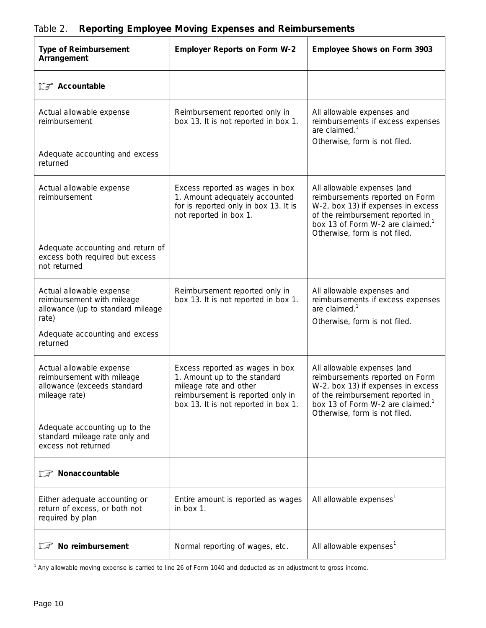### Table 2. **Reporting Employee Moving Expenses and Reimbursements**

| <b>Type of Reimbursement</b><br>Arrangement                                                                                                                                                      | <b>Employer Reports on Form W-2</b>                                                                                                                                    | Employee Shows on Form 3903                                                                                                                                                                                               |  |
|--------------------------------------------------------------------------------------------------------------------------------------------------------------------------------------------------|------------------------------------------------------------------------------------------------------------------------------------------------------------------------|---------------------------------------------------------------------------------------------------------------------------------------------------------------------------------------------------------------------------|--|
| <b>IF</b> Accountable                                                                                                                                                                            |                                                                                                                                                                        |                                                                                                                                                                                                                           |  |
| Actual allowable expense<br>reimbursement<br>Adequate accounting and excess<br>returned                                                                                                          | Reimbursement reported only in<br>box 13. It is not reported in box 1.                                                                                                 | All allowable expenses and<br>reimbursements if excess expenses<br>are claimed. $1$<br>Otherwise, form is not filed.                                                                                                      |  |
| Actual allowable expense<br>reimbursement<br>Adequate accounting and return of<br>excess both required but excess<br>not returned                                                                | Excess reported as wages in box<br>1. Amount adequately accounted<br>for is reported only in box 13. It is<br>not reported in box 1.                                   | All allowable expenses (and<br>reimbursements reported on Form<br>W-2, box 13) if expenses in excess<br>of the reimbursement reported in<br>box 13 of Form W-2 are claimed. <sup>1</sup><br>Otherwise, form is not filed. |  |
| Actual allowable expense<br>reimbursement with mileage<br>allowance (up to standard mileage<br>rate)<br>Adequate accounting and excess<br>returned                                               | Reimbursement reported only in<br>box 13. It is not reported in box 1.                                                                                                 | All allowable expenses and<br>reimbursements if excess expenses<br>are claimed. $1$<br>Otherwise, form is not filed.                                                                                                      |  |
| Actual allowable expense<br>reimbursement with mileage<br>allowance (exceeds standard<br>mileage rate)<br>Adequate accounting up to the<br>standard mileage rate only and<br>excess not returned | Excess reported as wages in box<br>1. Amount up to the standard<br>mileage rate and other<br>reimbursement is reported only in<br>box 13. It is not reported in box 1. | All allowable expenses (and<br>reimbursements reported on Form<br>W-2, box 13) if expenses in excess<br>of the reimbursement reported in<br>box 13 of Form W-2 are claimed. <sup>1</sup><br>Otherwise, form is not filed. |  |
| <b>IF</b> Nonaccountable                                                                                                                                                                         |                                                                                                                                                                        |                                                                                                                                                                                                                           |  |
| Either adequate accounting or<br>return of excess, or both not<br>required by plan                                                                                                               | Entire amount is reported as wages<br>in box 1.                                                                                                                        | All allowable expenses <sup>1</sup>                                                                                                                                                                                       |  |
| <b>IF</b> No reimbursement                                                                                                                                                                       | Normal reporting of wages, etc.                                                                                                                                        | All allowable expenses <sup>1</sup>                                                                                                                                                                                       |  |

<sup>1</sup> Any allowable moving expense is carried to line 26 of Form 1040 and deducted as an adjustment to gross income.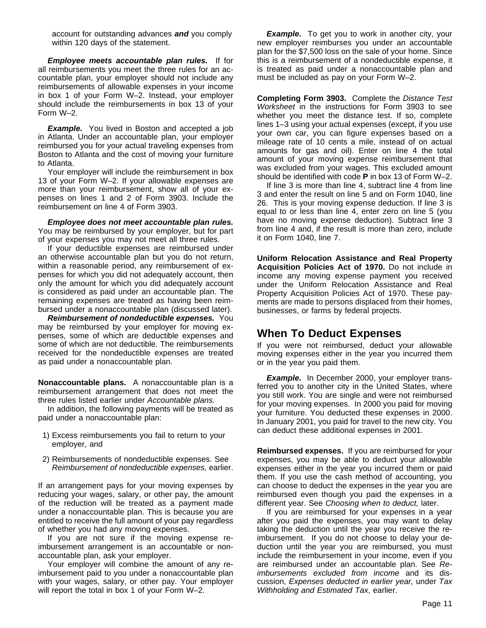account for outstanding advances **and** you comply within 120 days of the statement.

**Employee meets accountable plan rules.** If for all reimbursements you meet the three rules for an accountable plan, your employer should not include any reimbursements of allowable expenses in your income in box 1 of your Form W–2. Instead, your employer should include the reimbursements in box 13 of your Form W–2.

**Example.** You lived in Boston and accepted a job in Atlanta. Under an accountable plan, your employer reimbursed you for your actual traveling expenses from Boston to Atlanta and the cost of moving your furniture to Atlanta.

Your employer will include the reimbursement in box 13 of your Form W–2. If your allowable expenses are more than your reimbursement, show all of your expenses on lines 1 and 2 of Form 3903. Include the reimbursement on line 4 of Form 3903.

**Employee does not meet accountable plan rules.** You may be reimbursed by your employer, but for part of your expenses you may not meet all three rules.

If your deductible expenses are reimbursed under an otherwise accountable plan but you do not return, within a reasonable period, any reimbursement of expenses for which you did not adequately account, then only the amount for which you did adequately account is considered as paid under an accountable plan. The remaining expenses are treated as having been reimbursed under a nonaccountable plan (discussed later).

**Reimbursement of nondeductible expenses.** You may be reimbursed by your employer for moving expenses, some of which are deductible expenses and some of which are not deductible. The reimbursements received for the nondeductible expenses are treated as paid under a nonaccountable plan.

**Nonaccountable plans.** A nonaccountable plan is a reimbursement arrangement that does not meet the three rules listed earlier under Accountable plans.

In addition, the following payments will be treated as paid under a nonaccountable plan:

- 1) Excess reimbursements you fail to return to your employer, and
- 2) Reimbursements of nondeductible expenses. See Reimbursement of nondeductible expenses, earlier.

If an arrangement pays for your moving expenses by reducing your wages, salary, or other pay, the amount of the reduction will be treated as a payment made under a nonaccountable plan. This is because you are entitled to receive the full amount of your pay regardless of whether you had any moving expenses.

If you are not sure if the moving expense reimbursement arrangement is an accountable or nonaccountable plan, ask your employer.

Your employer will combine the amount of any reimbursement paid to you under a nonaccountable plan with your wages, salary, or other pay. Your employer will report the total in box 1 of your Form W–2.

**Example.** To get you to work in another city, your new employer reimburses you under an accountable plan for the \$7,500 loss on the sale of your home. Since this is a reimbursement of a nondeductible expense, it is treated as paid under a nonaccountable plan and must be included as pay on your Form W–2.

**Completing Form 3903.** Complete the Distance Test Worksheet in the instructions for Form 3903 to see whether you meet the distance test. If so, complete lines 1–3 using your actual expenses (except, if you use your own car, you can figure expenses based on a mileage rate of 10 cents a mile, instead of on actual amounts for gas and oil). Enter on line 4 the total amount of your moving expense reimbursement that was excluded from your wages. This excluded amount should be identified with code **P** in box 13 of Form W–2.

If line 3 is more than line 4, subtract line 4 from line 3 and enter the result on line 5 and on Form 1040, line 26. This is your moving expense deduction. If line 3 is equal to or less than line 4, enter zero on line 5 (you have no moving expense deduction). Subtract line 3 from line 4 and, if the result is more than zero, include it on Form 1040, line 7.

**Uniform Relocation Assistance and Real Property Acquisition Policies Act of 1970.** Do not include in income any moving expense payment you received under the Uniform Relocation Assistance and Real Property Acquisition Policies Act of 1970. These payments are made to persons displaced from their homes, businesses, or farms by federal projects.

### **When To Deduct Expenses**

If you were not reimbursed, deduct your allowable moving expenses either in the year you incurred them or in the year you paid them.

**Example.** In December 2000, your employer transferred you to another city in the United States, where you still work. You are single and were not reimbursed for your moving expenses. In 2000 you paid for moving your furniture. You deducted these expenses in 2000. In January 2001, you paid for travel to the new city. You can deduct these additional expenses in 2001.

**Reimbursed expenses.** If you are reimbursed for your expenses, you may be able to deduct your allowable expenses either in the year you incurred them or paid them. If you use the cash method of accounting, you can choose to deduct the expenses in the year you are reimbursed even though you paid the expenses in a different year. See Choosing when to deduct, later.

If you are reimbursed for your expenses in a year after you paid the expenses, you may want to delay taking the deduction until the year you receive the reimbursement. If you do not choose to delay your deduction until the year you are reimbursed, you must include the reimbursement in your income, even if you are reimbursed under an accountable plan. See Reimbursements excluded from income and its discussion, Expenses deducted in earlier year, under Tax Withholding and Estimated Tax, earlier.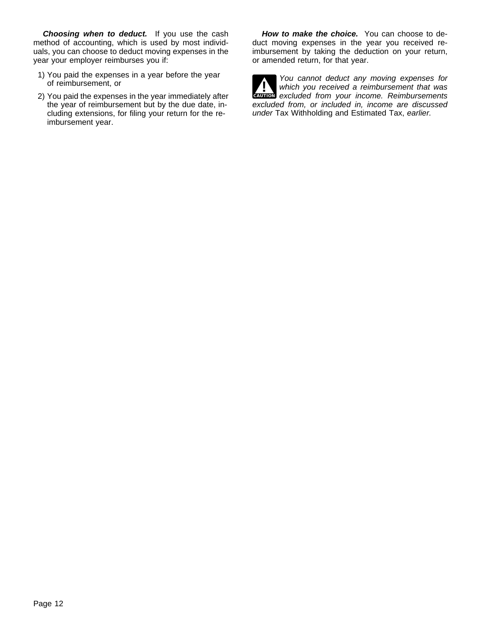**Choosing when to deduct.** If you use the cash method of accounting, which is used by most individuals, you can choose to deduct moving expenses in the year your employer reimburses you if:

- 1) You paid the expenses in a year before the year of reimbursement, or
- 2) You paid the expenses in the year immediately after the year of reimbursement but by the due date, including extensions, for filing your return for the reimbursement year.

**How to make the choice.** You can choose to deduct moving expenses in the year you received reimbursement by taking the deduction on your return, or amended return, for that year.

**CAUTION** excluded from your income. Reimbursements **!** You cannot deduct any moving expenses for which you received a reimbursement that was excluded from, or included in, income are discussed under Tax Withholding and Estimated Tax, earlier.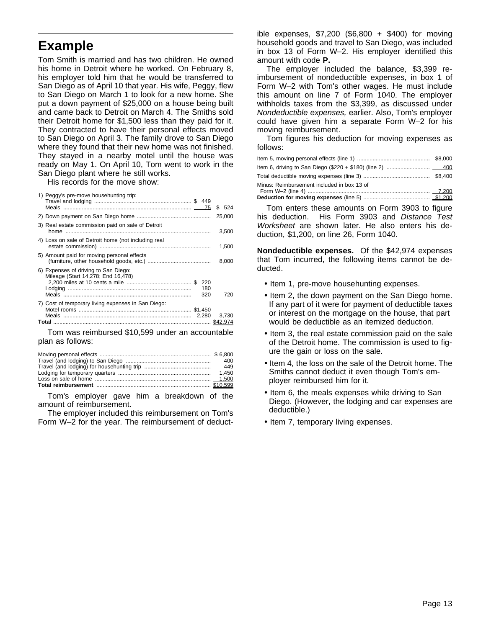## **Example**

Tom Smith is married and has two children. He owned his home in Detroit where he worked. On February 8, his employer told him that he would be transferred to San Diego as of April 10 that year. His wife, Peggy, flew to San Diego on March 1 to look for a new home. She put a down payment of \$25,000 on a house being built and came back to Detroit on March 4. The Smiths sold their Detroit home for \$1,500 less than they paid for it. They contracted to have their personal effects moved to San Diego on April 3. The family drove to San Diego where they found that their new home was not finished. They stayed in a nearby motel until the house was ready on May 1. On April 10, Tom went to work in the San Diego plant where he still works.

| 25.000<br>3) Real estate commission paid on sale of Detroit<br>3,500<br>4) Loss on sale of Detroit home (not including real<br>1,500<br>5) Amount paid for moving personal effects<br>8,000<br>6) Expenses of driving to San Diego:<br>Mileage (Start 14,278; End 16,478)<br>180<br>320<br>7) Cost of temporary living expenses in San Diego:<br>\$42.974 | 1) Peggy's pre-move househunting trip: |  |     |
|-----------------------------------------------------------------------------------------------------------------------------------------------------------------------------------------------------------------------------------------------------------------------------------------------------------------------------------------------------------|----------------------------------------|--|-----|
|                                                                                                                                                                                                                                                                                                                                                           |                                        |  |     |
|                                                                                                                                                                                                                                                                                                                                                           |                                        |  |     |
|                                                                                                                                                                                                                                                                                                                                                           |                                        |  |     |
|                                                                                                                                                                                                                                                                                                                                                           |                                        |  |     |
|                                                                                                                                                                                                                                                                                                                                                           |                                        |  | 720 |
|                                                                                                                                                                                                                                                                                                                                                           |                                        |  |     |
|                                                                                                                                                                                                                                                                                                                                                           |                                        |  |     |

Tom was reimbursed \$10,599 under an accountable plan as follows:

| 400 |
|-----|
|     |
|     |
|     |
|     |
|     |

Tom's employer gave him a breakdown of the amount of reimbursement.

The employer included this reimbursement on Tom's Form W–2 for the year. The reimbursement of deductible expenses, \$7,200 (\$6,800 + \$400) for moving household goods and travel to San Diego, was included in box 13 of Form W–2. His employer identified this amount with code **P.**

The employer included the balance, \$3,399 reimbursement of nondeductible expenses, in box 1 of Form W–2 with Tom's other wages. He must include this amount on line 7 of Form 1040. The employer withholds taxes from the \$3,399, as discussed under Nondeductible expenses, earlier. Also, Tom's employer could have given him a separate Form W–2 for his moving reimbursement.

Tom figures his deduction for moving expenses as follows:

| THEY Stayed III a Hearby Hotel until the House was   |                                            |  |
|------------------------------------------------------|--------------------------------------------|--|
| ready on May 1. On April 10, Tom went to work in the |                                            |  |
| San Diego plant where he still works.                |                                            |  |
| His records for the move show:                       | Minus: Reimbursement included in box 13 of |  |
| 1) Peggy's pre-move househunting trip:               |                                            |  |
|                                                      |                                            |  |

Tom enters these amounts on Form 3903 to figure his deduction. His Form 3903 and Distance Test Worksheet are shown later. He also enters his deduction, \$1,200, on line 26, Form 1040.

**Nondeductible expenses.** Of the \$42,974 expenses that Tom incurred, the following items cannot be deducted.

- Item 1, pre-move househunting expenses.
- Item 2, the down payment on the San Diego home. If any part of it were for payment of deductible taxes or interest on the mortgage on the house, that part would be deductible as an itemized deduction.
- Item 3, the real estate commission paid on the sale of the Detroit home. The commission is used to figure the gain or loss on the sale.
- Item 4, the loss on the sale of the Detroit home. The Smiths cannot deduct it even though Tom's employer reimbursed him for it.
- Item 6, the meals expenses while driving to San Diego. (However, the lodging and car expenses are deductible.)
- Item 7, temporary living expenses.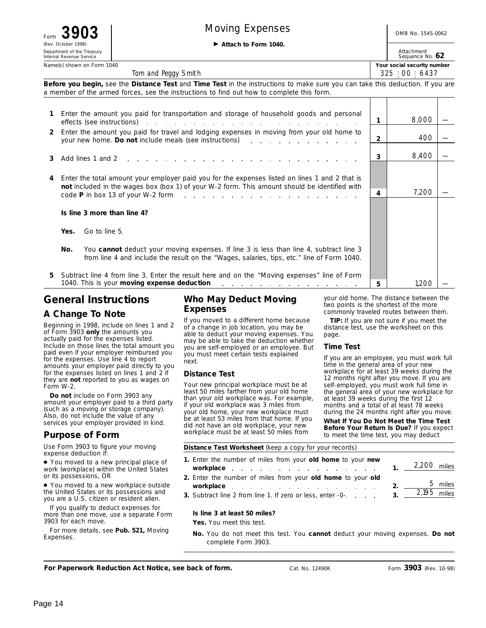Department of the Treasury Internal Revenue Service

(Rev. October

Tom and Peggy Smith

# **Moving Expenses OMB No. 1545-0062** No. 1545-0062

**Attach to Form 1040.**

Attachment

Name(s) shown on Form 1040 **Your social security number Your social security number** 

325 00 6437

**Before you begin,** see the **Distance Test** and **Time Test** in the instructions to make sure you can take this deduction. If you are a member of the armed forces, see the instructions to find out how to complete this form.

|                | Enter the amount you paid for transportation and storage of household goods and personal                                                                                                                                                                                                                                    |                | 8,000 |  |
|----------------|-----------------------------------------------------------------------------------------------------------------------------------------------------------------------------------------------------------------------------------------------------------------------------------------------------------------------------|----------------|-------|--|
| $\overline{2}$ | Enter the amount you paid for travel and lodging expenses in moving from your old home to<br>your new home. Do not include meals (see instructions) results and results and results are not include the state of the state of the state of the state of the state of the state of the state of the state of the state of th | $\overline{2}$ | 400   |  |
| 3              | .<br>In the second companies of the second companies of the second companies of the second companies of the second<br>Add lines 1 and 2                                                                                                                                                                                     | 3              | 8,400 |  |
|                |                                                                                                                                                                                                                                                                                                                             |                |       |  |
| 4              | Enter the total amount your employer paid you for the expenses listed on lines 1 and 2 that is<br>not included in the wages box (box 1) of your W-2 form. This amount should be identified with                                                                                                                             | 4              | 7,200 |  |
|                |                                                                                                                                                                                                                                                                                                                             |                |       |  |
|                | Is line 3 more than line 4?                                                                                                                                                                                                                                                                                                 |                |       |  |
|                | Go to line 5.<br>Yes.                                                                                                                                                                                                                                                                                                       |                |       |  |
|                | You cannot deduct your moving expenses. If line 3 is less than line 4, subtract line 3<br>No.<br>from line 4 and include the result on the "Wages, salaries, tips, etc." line of Form 1040.                                                                                                                                 |                |       |  |
| 5.             | Subtract line 4 from line 3. Enter the result here and on the "Moving expenses" line of Form<br>1040. This is your moving expense deduction<br>the contract of the contract of the contract of the contract of                                                                                                              | 5.             | .200  |  |
|                |                                                                                                                                                                                                                                                                                                                             |                |       |  |

# **General Instructions**

#### **A Change To Note**

Beginning in 1998, include on lines 1 and 2 of Form 3903 **only** the amounts you actually paid for the expenses listed. Include on those lines the total amount you paid even if your employer reimbursed you for the expenses. Use line 4 to report amounts your employer paid directly to you for the expenses listed on lines 1 and 2 if they are **not** reported to you as wages on Form W-2.

**Do not** include on Form 3903 any amount your employer paid to a third party (such as a moving or storage company). Also, do not include the value of any services your employer provided in kind.

#### **Purpose of Form**

Use Form 3903 to figure your moving expense deduction if:

● You moved to a new principal place of work (workplace) within the United States or its possessions, OR

● You moved to a new workplace outside the United States or its possessions and you are a U.S. citizen or resident alien.

If you qualify to deduct expenses for more than one move, use a separate Form 3903 for each move.

For more details, see **Pub. 521,** Moving Expenses.

#### **Who May Deduct Moving Expenses**

If you moved to a different home because of a change in job location, you may be able to deduct your moving expenses. You may be able to take the deduction whether you are self-employed or an employee. But you must meet certain tests explained next.

#### **Distance Test**

Your new principal workplace must be at least 50 miles farther from your old home than your old workplace was. For example, if your old workplace was 3 miles from your old home, your new workplace must be at least 53 miles from that home. If you did not have an old workplace, your new workplace must be at least 50 miles from

your old home. The distance between the two points is the shortest of the more commonly traveled routes between them.

**TIP:** *If you are not sure if you meet the distance test, use the worksheet on this page.*

#### **Time Test**

If you are an employee, you must work full time in the general area of your new workplace for at least 39 weeks during the 12 months right after you move. If you are self-employed, you must work full time in the general area of your new workplace for at least 39 weeks during the first 12 months and a total of at least 78 weeks during the 24 months right after you move.

**What If You Do Not Meet the Time Test Before Your Return Is Due?** If you expect to meet the time test, you may deduct

#### **Distance Test Worksheet** (keep a copy for your records)

| 1. Enter the number of miles from your old home to your new<br>workplace workplace                            | 1. $\frac{2,200}{2}$ miles     |  |
|---------------------------------------------------------------------------------------------------------------|--------------------------------|--|
| 2. Enter the number of miles from your old home to your old                                                   |                                |  |
| workplace example and the series of the series of the series of the series of the series of the series of the | 2. $\frac{5 \text{ miles}}{2}$ |  |
| 3. Subtract line 2 from line 1. If zero or less, enter -0-. $\ldots$ 3. $\frac{2.195}{\ldots}$ miles          |                                |  |

#### **Is line 3 at least 50 miles?**

**Yes.** You meet this test.

**No.** You do not meet this test. You **cannot** deduct your moving expenses. **Do not** complete Form 3903.

**For Paperwork Reduction Act Notice, see back of form.** Cat. No. 12490K Form 3903 (Rev. 10-98)

### Sequence No. **62**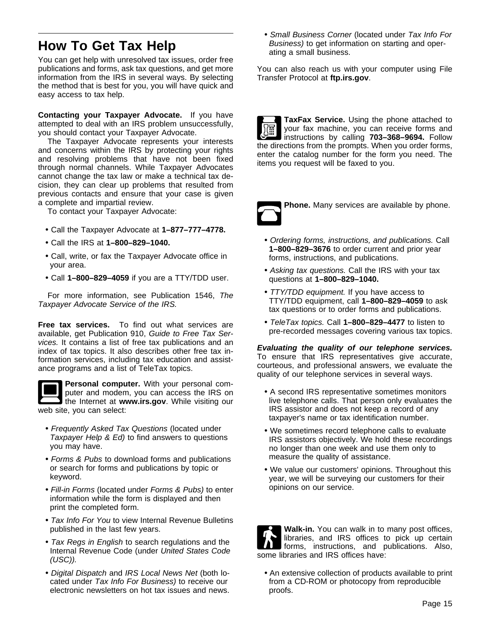# **How To Get Tax Help**

You can get help with unresolved tax issues, order free publications and forms, ask tax questions, and get more information from the IRS in several ways. By selecting the method that is best for you, you will have quick and easy access to tax help.

**Contacting your Taxpayer Advocate.** If you have attempted to deal with an IRS problem unsuccessfully, you should contact your Taxpayer Advocate.

The Taxpayer Advocate represents your interests and concerns within the IRS by protecting your rights and resolving problems that have not been fixed through normal channels. While Taxpayer Advocates cannot change the tax law or make a technical tax decision, they can clear up problems that resulted from previous contacts and ensure that your case is given a complete and impartial review.

To contact your Taxpayer Advocate:

- Call the Taxpayer Advocate at **1–877–777–4778.**
- Call the IRS at **1–800–829–1040.**
- Call, write, or fax the Taxpayer Advocate office in your area.
- Call **1–800–829–4059** if you are a TTY/TDD user.

For more information, see Publication 1546, The Taxpayer Advocate Service of the IRS.

**Free tax services.** To find out what services are available, get Publication 910, Guide to Free Tax Services. It contains a list of free tax publications and an index of tax topics. It also describes other free tax information services, including tax education and assistance programs and a list of TeleTax topics.



**Personal computer.** With your personal computer and modem, you can access the IRS on the Internet at **www.irs.gov**. While visiting our web site, you can select:

- Frequently Asked Tax Questions (located under Taxpayer Help & Ed) to find answers to questions you may have.
- Forms & Pubs to download forms and publications or search for forms and publications by topic or keyword.
- Fill-in Forms (located under Forms & Pubs) to enter information while the form is displayed and then print the completed form.
- Tax Info For You to view Internal Revenue Bulletins published in the last few years.
- Tax Regs in English to search regulations and the Internal Revenue Code (under United States Code (USC)).
- Digital Dispatch and IRS Local News Net (both located under Tax Info For Business) to receive our electronic newsletters on hot tax issues and news.

• Small Business Corner (located under Tax Info For Business) to get information on starting and operating a small business.

You can also reach us with your computer using File Transfer Protocol at **ftp.irs.gov**.

**TaxFax Service.** Using the phone attached to 赒 your fax machine, you can receive forms and instructions by calling **703–368–9694.** Follow the directions from the prompts. When you order forms, enter the catalog number for the form you need. The items you request will be faxed to you.

**Phone.** Many services are available by phone.

- Ordering forms, instructions, and publications. Call **1–800–829–3676** to order current and prior year forms, instructions, and publications.
- Asking tax questions. Call the IRS with your tax questions at **1–800–829–1040.**
- TTY/TDD equipment. If you have access to TTY/TDD equipment, call **1–800–829–4059** to ask tax questions or to order forms and publications.
- TeleTax topics. Call **1–800–829–4477** to listen to pre-recorded messages covering various tax topics.

**Evaluating the quality of our telephone services.** To ensure that IRS representatives give accurate, courteous, and professional answers, we evaluate the quality of our telephone services in several ways.

- A second IRS representative sometimes monitors live telephone calls. That person only evaluates the IRS assistor and does not keep a record of any taxpayer's name or tax identification number.
- We sometimes record telephone calls to evaluate IRS assistors objectively. We hold these recordings no longer than one week and use them only to measure the quality of assistance.
- We value our customers' opinions. Throughout this year, we will be surveying our customers for their opinions on our service.

**Walk-in.** You can walk in to many post offices, libraries, and IRS offices to pick up certain forms, instructions, and publications. Also, some libraries and IRS offices have:

• An extensive collection of products available to print from a CD-ROM or photocopy from reproducible proofs.